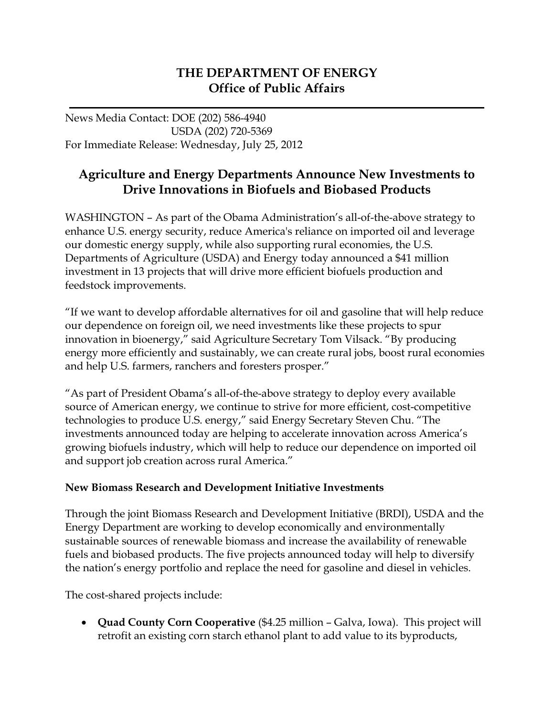## **THE DEPARTMENT OF ENERGY Office of Public Affairs**

News Media Contact: DOE (202) 586-4940 USDA (202) 720-5369 For Immediate Release: Wednesday, July 25, 2012

## **Agriculture and Energy Departments Announce New Investments to Drive Innovations in Biofuels and Biobased Products**

WASHINGTON – As part of the Obama Administration's all-of-the-above strategy to enhance U.S. energy security, reduce America's reliance on imported oil and leverage our domestic energy supply, while also supporting rural economies, the U.S. Departments of Agriculture (USDA) and Energy today announced a \$41 million investment in 13 projects that will drive more efficient biofuels production and feedstock improvements.

"If we want to develop affordable alternatives for oil and gasoline that will help reduce our dependence on foreign oil, we need investments like these projects to spur innovation in bioenergy," said Agriculture Secretary Tom Vilsack. "By producing energy more efficiently and sustainably, we can create rural jobs, boost rural economies and help U.S. farmers, ranchers and foresters prosper."

"As part of President Obama's all-of-the-above strategy to deploy every available source of American energy, we continue to strive for more efficient, cost-competitive technologies to produce U.S. energy," said Energy Secretary Steven Chu. "The investments announced today are helping to accelerate innovation across America's growing biofuels industry, which will help to reduce our dependence on imported oil and support job creation across rural America."

## **New Biomass Research and Development Initiative Investments**

Through the joint Biomass Research and Development Initiative (BRDI), USDA and the Energy Department are working to develop economically and environmentally sustainable sources of renewable biomass and increase the availability of renewable fuels and biobased products. The five projects announced today will help to diversify the nation's energy portfolio and replace the need for gasoline and diesel in vehicles.

The cost-shared projects include:

• **Quad County Corn Cooperative** (\$4.25 million – Galva, Iowa). This project will retrofit an existing corn starch ethanol plant to add value to its byproducts,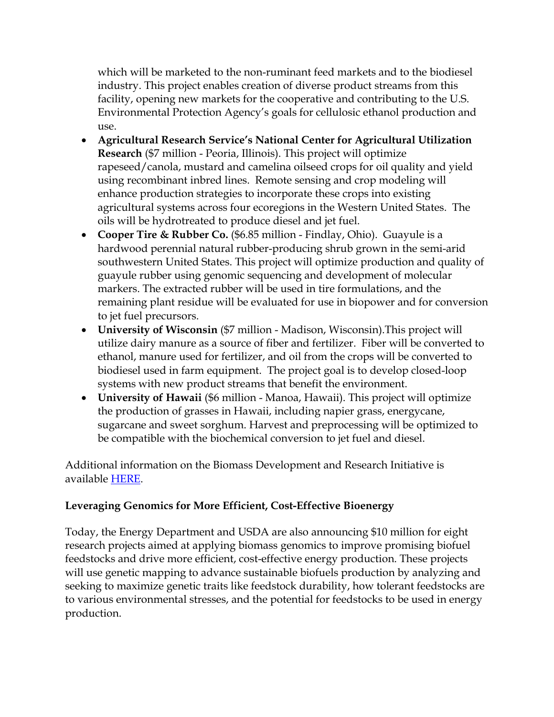which will be marketed to the non-ruminant feed markets and to the biodiesel industry. This project enables creation of diverse product streams from this facility, opening new markets for the cooperative and contributing to the U.S. Environmental Protection Agency's goals for cellulosic ethanol production and use.

- **Agricultural Research Service's National Center for Agricultural Utilization Research** (\$7 million - Peoria, Illinois). This project will optimize rapeseed/canola, mustard and camelina oilseed crops for oil quality and yield using recombinant inbred lines. Remote sensing and crop modeling will enhance production strategies to incorporate these crops into existing agricultural systems across four ecoregions in the Western United States. The oils will be hydrotreated to produce diesel and jet fuel.
- **Cooper Tire & Rubber Co.** (\$6.85 million Findlay, Ohio). Guayule is a hardwood perennial natural rubber-producing shrub grown in the semi-arid southwestern United States. This project will optimize production and quality of guayule rubber using genomic sequencing and development of molecular markers. The extracted rubber will be used in tire formulations, and the remaining plant residue will be evaluated for use in biopower and for conversion to jet fuel precursors.
- **University of Wisconsin** (\$7 million Madison, Wisconsin).This project will utilize dairy manure as a source of fiber and fertilizer. Fiber will be converted to ethanol, manure used for fertilizer, and oil from the crops will be converted to biodiesel used in farm equipment. The project goal is to develop closed-loop systems with new product streams that benefit the environment.
- **University of Hawaii** (\$6 million Manoa, Hawaii). This project will optimize the production of grasses in Hawaii, including napier grass, energycane, sugarcane and sweet sorghum. Harvest and preprocessing will be optimized to be compatible with the biochemical conversion to jet fuel and diesel.

Additional information on the Biomass Development and Research Initiative is available [HERE.](http://www.usbiomassboard.gov/initiative/initiative.html)

## **Leveraging Genomics for More Efficient, Cost-Effective Bioenergy**

Today, the Energy Department and USDA are also announcing \$10 million for eight research projects aimed at applying biomass genomics to improve promising biofuel feedstocks and drive more efficient, cost-effective energy production. These projects will use genetic mapping to advance sustainable biofuels production by analyzing and seeking to maximize genetic traits like feedstock durability, how tolerant feedstocks are to various environmental stresses, and the potential for feedstocks to be used in energy production.